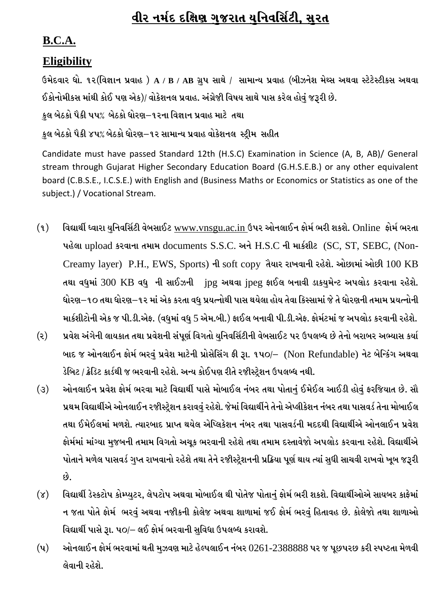# <u>વીર નર્મદ દક્ષિણ ગુજરાત યુનિવર્સિટી, સુરત</u>

## **B.C.A.**

### **Eligibility**

 $6$ મેદવાર ધો. ૧૨(વિજ્ઞાન પ્રવાહ) A / B / AB ગ્રુપ સાથે / સામાન્ય પ્રવાહ (બીઝનેશ મેથ્સ અથવા સ્ટેટેસ્ટીકસ અથવા ઈકોનોમીકસ માંથી કોઈ પણ એક)/ વોકેશનલ પ્રવાહ. અંગ્રેજીી વિષય સાથે પાસ કરેલ હોવં જરૂરી છે.

કુલ બેઠકો પૈકી પપ% બેઠકો ધોરણ–૧૨ના વિજ્ઞાન પ્રવાહ માટે તથા

કલ બેઠકો પૈકી ૪૫% બેઠકો ઘોરણ–૧૨ સામાન્ય પ્રવાહ વોકેશનલ સ્ટીમ સહીત

Candidate must have passed Standard 12th (H.S.C) Examination in Science (A, B, AB)/ General stream through Gujarat Higher Secondary Education Board (G.H.S.E.B.) or any other equivalent board (C.B.S.E., I.C.S.E.) with English and (Business Maths or Economics or Statistics as one of the subject.) / Vocational Stream.

- $\mathbf{q}$ ) વિદ્યાર્થી ધ્વારા યુનિવર્સિટી વેબસાઈટ [www.vnsgu.ac.in](http://www.vnsgu.ac.in/) ઉપર ઓનલાઈન ફોર્મ ભરી શકશે. Online ફોર્મ ભરતા પહેલા upload કરવાના તમામ documents S.S.C. અને H.S.C ની માર્કશીટ (SC, ST, SEBC, (Non-Creamy layer) P.H., EWS, Sports) ની soft copy તૈયાર રાખવાની રહેશે. ઓછામાં ઓછી 100 KB તથા વધુમાં 300 KB વધુ ની સાઈઝની ipg અથવા ipeg ફાઈલ બનાવી ડાકયુમેન્ટ અપલોડ કરવાના રહેશે. ધોરણ–૧૦ તથા ધોરણ–૧૨ માં એક કરતા વધુ પ્રયત્નોથી પાસ થયેલા હોય તેવા કિસ્સામાં જે તે ધોરણની તમામ પ્રયત્નોની માર્કશીટોની એક જ પી.ડી.એફ. (વધમાં વધ 5 એમ.બી.) ફાઈલ બનાવી પી.ડી.એફ. ફોર્મટમાં જ અપલોડ કરવાની રહેશે.
- (૨) પ્રવેશ અંગેની લાયકાત તથા પ્રવેશની સંપૂર્ણ વિગતો યુનિવર્સિટીની વેબસાઈટ પર ઉપલબ્ધ છે તેનો બરાબર અભ્યાસ કર્યા બાદ જ ઓનલાઈન ફોર્મ ભરવં પ્રવેશ માટેની પ્રોસેસિંગ ફી રૂા. ૧૫૦/– (Non Refundable) નેટ બેન્કિંગ અથવા ડેબિટ / ક્રેડિટ કાર્ડથી જ ભરવાની રહેશે. અન્ય કોઈપણ રીતે રજીસ્ટ્રેશન ઉપલબ્ધ નથી.
- (૩) આોનલાઈન પ્રવેશ ફોર્મ ભરવા માટે વિદ્યાર્થી પાસે મોબાઈલ નંબર તથા પોતા<u>નું</u> ઈમેઈલ આઈડી હોવું ફરજિયાત છે. સૌ પ્રથમ વિદ્યાર્થીએ ઓનલાઈન રજીસ્ટ્રેશન કરાવવું રહેશે. જેમાં વિદ્યાર્થીને તેનો એપ્લીકેશન નંબર તથા પાસવર્ડ તેના મોબાઈલ તથા ઈમેઈલમાં મળશે. ત્યારબાદ પ્રાપ્ત થયેલ એપ્લિકેશન નંબર તથા પાસવર્ડની મદદથી વિદ્યાર્થીએ ઓનલાઈન પ્રવેશ ફોર્મમાં માંગ્યા મજબની તમામ વિગતો અચૂક ભરવાની રહેશે તથા તમામ દસ્તાવેજો અપલોડ કરવાના રહેશે. વિદ્યાર્થીએ પોતાને મળેલ પાસવર્ડ ગુપ્ત રાખવાનો રહેશે તથા તેને રજીીસ્ટ્રેશનની પ્રક્રિયા પૂર્ણ થાય ત્યાં સુધી સાચવી રાખવો ખૂબ જરૂરી  $\delta$ .
- (૪) વિદ્યાર્થી ડેસ્કટોપ કોમ્પ્યુટર, લેપટોપ અથવા મોબાઈલ થી પોતેજ પોતાનું ફોર્મ ભરી શકશે. વિદ્યાર્થીઓએ સાયબર કાફેમાં ન જતા પોતે ફોર્મ ભરવું અથવા નજીકની કોલેજ અથવા શાળામાં જઈ ફોર્મ ભરવું હિતાવહ છે. કોલેજો તથા શાળાઓ વિદ્યાર્થી પાસે રૂા. ૫૦/– લઈ ફોર્મ ભરવાની સુવિધા ઉપલબ્ધ કરાવશે.
- $(4)$  ઓનલાઈન ફોર્મ ભરવામાં થતી મુઝવણ માટે હેલ્પલાઈન નંબર  $0261$ - $2388888$  પર જ પૂછપરછ કરી સ્પષ્ટતા મેળવી લેવાની રહેશે.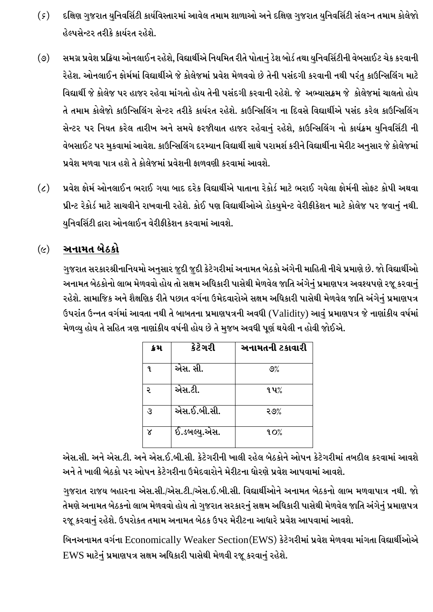- (*૬*) દક્ષિણ ગુજરાત યુનિવર્સિટી કાર્યવિસ્તારમાં આવેલ તમામ શાળાઓ અને દક્ષિણ ગુજરાત યુનિવર્સિટી સંલગ્ન તમામ કોલેજો હેલ્પસેન્ટર તરીકે કાર્યરત રહેશે.
- (૭) સમગ્ર પ્રવેશ પ્રક્રિયા ઓનલાઈન રહેશે, વિદ્યાર્થીએ નિયમિત રીતે પોતાનું ડેશ બોર્ડ તથા યુનિવર્સિટીની વેબસાઈટ ચેક કરવાની રેહેશ. ઓનલાઈન ફોર્મમાં વિદ્યાર્થીએ જે કોલેજમાં પ્રવેશ મેળવવો છે તેની પસંદગી કરવાની નથી પરંતુ કાઉન્સિલિંગ માટે વિદ્યાર્થી જે કોલેજ પર હાજર રહેવા માંગતો હોય તેની પસંદગી કરવાની રહેશે. જે અભ્યાસક્રમ જે કોલેજમાં ચાલતો હોય તે તમામ કોલેજો કાઉન્સિલિંગ સેન્ટર તરીકે કાર્યરત રહેશે. કાઉન્સિલિંગ ના દિવસે વિદ્યાર્થીએ પસંદ કરેલ કાઉન્સિલિંગ સેન્ટર પર નિયત કરેલ તારીખ અને સમયે ફરજીયાત હાજર રહેવાનું રહેશે, કાઉન્સિલિંગ નો કાર્યક્રમ યુનિવર્સિટી ની વેબસાઈટ પર મુકવામાં આવેશ. કાઉન્સિલિંગ દરમ્યાન વિદ્યાર્થી સાથે પરામર્શ કરીને વિદ્યાર્થીના મેરીટ અનુસાર જે કોલેજમાં પ્રવેશ મળવા પાત્ર હશે તે કોલેજમાં પ્રવેશની કાળવણી કરવામાં આવશે.
- (૮) પ્રવેશ કોર્મ ઓનલાઈન ભરાઈ ગયા બાદ દરેક વિદ્યાર્થીએ પાતાના રેકોર્ડ માટે ભરાઈ ગયેલા કોર્મની સોફ્ટ કોપી અથવા પ્રીન્ટ રેકોર્ડ માટે સાચવીને રાખવાની રહેશે. કોઈ પણ વિદ્યાર્થીઓએ ડોકયુમેન્ટ વેરીફીકેશન માટે કોલેજ પર જવાનું નથી. યુનિવર્સિટી દ્વારા ઓનલાઈન વેરીફીકેશન કરવામાં આવશે.

### <u>(૯) – અનામત બેઠકો</u>

ગુજરાત સરકારશ્રીનાનિયમો અનુસાર જુદી જુદી કેટેગરીમાં અનામત બેઠકો અંગેની માહિતી નીચે પ્રમાણે છે. જો વિદ્યાર્થીઓ અનામત બેઠકોનો લાભ મેળવવો હોય તો સક્ષમ અધિકારી પાસેથી મેળવેલ જાતિ અંગેનું પ્રમાણપત્ર અવશ્યપણે રજૂ કરવાનું રહેશે. સામાજિક અને શૈક્ષણિક રીતે પછાત વર્ગના ઉમેદવારોએ સક્ષમ અધિકારી પાસેથી મેળવેલ જાતિ અંગેનું પ્રમાણપત્ર ઉપરાંત ઉન્નત વર્ગમાં આવતા નથી તે બાબતના પ્રમાણપત્રની અવધી (Validity) આવં પ્રમાણપત્ર જે નાણાંકીય વર્ષમાં મેળવ્યુ હોય તે સહિત ત્રણ નાણાંકીય વર્ષની હોય છે તે મુજબ અવધી પૂર્ણ થયેલી ન હોવી જોઈએ.

| ક્રેમ | કેટેગરી      | અનામતની ટકાવારી |
|-------|--------------|-----------------|
| 9.    | એસ. સી.      | 9%              |
| २     | એસ.ટી.       | ૧૫%             |
| उ     | એસ.ઈ.બી.સી.  | २७%             |
|       | ઈ.ડબલ્યુ.એસ. | 90 <sub>6</sub> |

એસ.સી. અને એસ.ટી. અને એસ.ઈ.બી.સી. કેટેગરીની ખાલી રહેલ બેઠકોને ઓપન કેટેગરીમાં તબદીલ કરવામાં આવશે અને તે ખાલી બેઠકો પર ઓપન કેટેગરીના ઉમેદવારોને મેરીટના ધોરણે પ્રવેશ આપવામાં આવશે.

ગુજરાત રાજય બહારના એસ.સી./એસ.ટી./એસ.ઈ.બી.સી. વિદ્યાર્થીઓને અનામત બેઠકનો લાભ મળવાપાત્ર નથી. જો તેમણે અનામત બેઠકનો લાભ મેળવવો હોય તો ગુજરાત સરકારનું સક્ષમ અધિકારી પાસેથી મેળવેલ જાતિ અંગેનું પ્રમાણપત્ર ૨જૂ કરવાનું રહેશે. ઉપરોકત તમામ અનામત બેઠક ઉપર મેરીટના આધારે પ્રવેશ આપવામાં આવશે.

બિનઅનામત વર્ગના Economically Weaker Section(EWS) કેટેગરીમાં પ્રવેશ મેળવવા માંગતા વિદ્યાર્થીઓએ EWS માટેનું પ્રમાણપત્ર સક્ષમ અધિકારી પાસેથી મેળવી રજૂ કરવાનું રહેશે.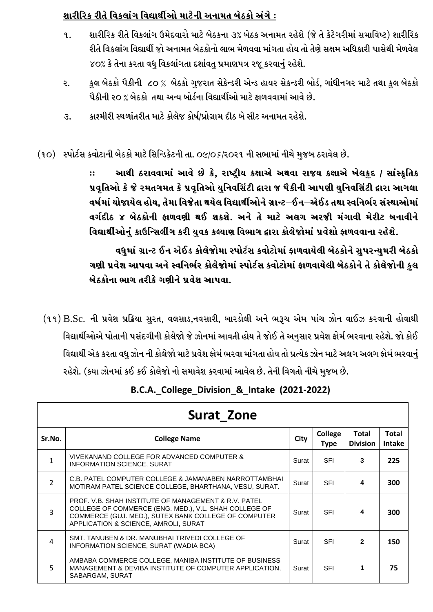### શારીરિક રીતે વિકલાંગ વિદ્યાર્થીઓ માટેની અનામત બેઠકો અંગે :

- શારીરિક રીતે વિકલાંગ ઉમેદવારો માટે બેઠકના ૩% બેઠક અનામત રહેશે (જે તે કેટેગરીમાં સમાવિષ્ટ) શારીરિક **q**. રીતે વિકલાંગ વિદ્યાર્થી જો અનામત બેઠકોનો લાભ મેળવવા માંગતા હોય તો તેણે સક્ષમ અધિકારી પાસેથી મેળવેલ ૪૦% કે તેના કરતા વધુ વિકલાંગતા દર્શાવતુ પ્રમાણપત્ર રજૂ કરવાનું રહેશે.
- કુલ બેઠકો પૈકીની ૮૦ % બેઠકો ગુજરાત સેકેન્ડરી એન્ડ હાયર સેકન્ડરી બોર્ડ, ગાંધીનગર માટે તથા કુલ બેઠકો ૨. પૈકીની ૨૦ % બેઠકો તથા અન્ય બોર્ડના વિદ્યાર્થીઓ માટે કાળવવામાં આવે છે.
- કાશ્મીરી સ્થળાંતરીત માટે કોલેજ કોર્ષ/પ્રોગ્રામ દીઠ બે સીટ અનામત રહેશે. З.
- (૧૦) સ્પોર્ટસ કવોટાની બેઠકો માટે સિન્ડિકેટની તા. ૦૯/૦૬/૨૦૨૧ ની સભામાં નીચે મુજબ ઠરાવેલ છે.

આથી ઠરાવવામાં આવે છે કે, રાષ્ટ્રીય કક્ષાએ અથવા રાજય કક્ષાએ ખેલકુદ / સાંસ્ક્રુતિક  $\dddot{\mathbf{r}}$ પ્રવૃતિઓ કે જે રમતગમત કે પ્રવૃતિઓ યુનિવર્સિટી દ્વારા જ પૈકીની આપણી યુનિવર્સિટી દ્વારા આગલા વર્ષમાં યોજાયેલ હોય. તેમા વિજેતા થયેલ વિદ્યાર્થીઓને ગ્રાન્ટ–ઈન–એઈડ તથા સ્વનિર્ભર સંસ્થાઓમાં વર્ગદીઠ ૪ બેઠકોની ફાળવણી થઈ શકશે. અને તે માટે અલગ અરજી મંગાવી મેરીટ બનાવીને વિદ્યાર્થીઓનું કાઉન્સિલીંગ કરી યુવક કલ્યાણ વિભાગ દ્વારા કોલેજોમાં પ્રવેશો ફાળવવાના રહેશે.

વધમાં ગ્રાન્ટ ઈન એઈડ કોલેજોમા સ્પોર્ટસ કવોટોમાં ફાળવાયેલી બેઠકોને સપરન્યમરી બેઠકો ગણી પ્રવેશ આપવા અને સ્વનિર્ભર કોલેજોમાં સ્પોર્ટસ કવોટોમાં ફાળવાયેલી બેઠકોને તે કોલેજોની કુલ બેઠકોના ભાગ તરીકે ગણીને પ્રવેશ આપવા.

(૧૧) B.Sc. ની પ્રવેશ પ્રક્રિયા સુરત, વલસાડ,નવસારી, બારડોલી અને ભરૂચ એમ પાંચ ઝોન વાઈઝ કરવાની હોવાથી વિદ્યાર્થીઓએ પોતાની પસંદગીની કોલેજો જે ઝોનમાં આવતી હોય તે જોઈ તે અનસાર પ્રવેશ ફોર્મ ભરવાના રહેશે. જો કોઈ વિદ્યાર્થી એક કરતા વધુ ઝોન ની કોલેજો માટે પ્રવેશ ફોર્મ ભરવા માંગતા હોય તો પ્રત્યેક ઝોન માટે અલગ અલગ ફોર્મ ભરવાનું રહેશે. (કયા ઝોનમાં કઈ કઈ કોલેજો નો સમાવેશ કરવામાં આવેલ છે. તેની વિગતો નીચે મુજબ છે.

|                | <b>Surat Zone</b>                                                                                                                                                                                                        |       |                        |                                 |                               |
|----------------|--------------------------------------------------------------------------------------------------------------------------------------------------------------------------------------------------------------------------|-------|------------------------|---------------------------------|-------------------------------|
| Sr.No.         | <b>College Name</b>                                                                                                                                                                                                      | City  | College<br><b>Type</b> | <b>Total</b><br><b>Division</b> | <b>Total</b><br><b>Intake</b> |
|                | VIVEKANAND COLLEGE FOR ADVANCED COMPUTER &<br><b>INFORMATION SCIENCE, SURAT</b>                                                                                                                                          | Surat | <b>SFI</b>             | 3                               | 225                           |
| $\overline{2}$ | C.B. PATEL COMPUTER COLLEGE & JAMANABEN NARROTTAMBHAI<br>MOTIRAM PATEL SCIENCE COLLEGE, BHARTHANA, VESU, SURAT.                                                                                                          | Surat | <b>SFI</b>             | 4                               | 300                           |
| 3              | <b>PROF. V.B. SHAH INSTITUTE OF MANAGEMENT &amp; R.V. PATEL</b><br>COLLEGE OF COMMERCE (ENG. MED.), V.L. SHAH COLLEGE OF<br>COMMERCE (GUJ. MED.), SUTEX BANK COLLEGE OF COMPUTER<br>APPLICATION & SCIENCE, AMROLI, SURAT | Surat | <b>SFI</b>             | 4                               | 300                           |
| 4              | SMT. TANUBEN & DR. MANUBHAI TRIVEDI COLLEGE OF<br>INFORMATION SCIENCE, SURAT (WADIA BCA)                                                                                                                                 | Surat | <b>SFI</b>             | $\mathfrak{p}$                  | 150                           |
| 5              | AMBABA COMMERCE COLLEGE, MANIBA INSTITUTE OF BUSINESS<br>MANAGEMENT & DEVIBA INSTITUTE OF COMPUTER APPLICATION.<br>SABARGAM, SURAT                                                                                       | Surat | <b>SFI</b>             | 1                               | 75                            |

### B.C.A.\_College\_Division\_&\_Intake (2021-2022)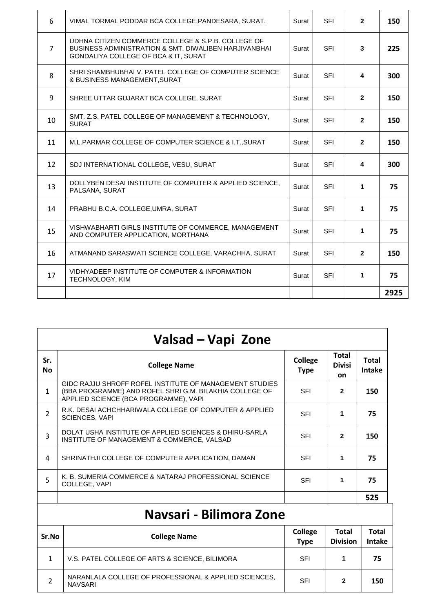| 6              | VIMAL TORMAL PODDAR BCA COLLEGE, PANDESARA, SURAT.                                                                                                  | Surat | <b>SFI</b> | $\overline{2}$ | 150  |
|----------------|-----------------------------------------------------------------------------------------------------------------------------------------------------|-------|------------|----------------|------|
| $\overline{7}$ | UDHNA CITIZEN COMMERCE COLLEGE & S.P.B. COLLEGE OF<br>BUSINESS ADMINISTRATION & SMT. DIWALIBEN HARJIVANBHAI<br>GONDALIYA COLLEGE OF BCA & IT, SURAT | Surat | <b>SFI</b> | 3              | 225  |
| 8              | SHRI SHAMBHUBHAI V. PATEL COLLEGE OF COMPUTER SCIENCE<br>& BUSINESS MANAGEMENT, SURAT                                                               | Surat | <b>SFI</b> | 4              | 300  |
| 9              | SHREE UTTAR GUJARAT BCA COLLEGE, SURAT                                                                                                              | Surat | <b>SFI</b> | $\mathbf{2}$   | 150  |
| 10             | SMT. Z.S. PATEL COLLEGE OF MANAGEMENT & TECHNOLOGY.<br><b>SURAT</b>                                                                                 | Surat | <b>SFI</b> | $\mathbf{2}$   | 150  |
| 11             | M.L.PARMAR COLLEGE OF COMPUTER SCIENCE & I.T., SURAT                                                                                                | Surat | <b>SFI</b> | $\mathbf{2}$   | 150  |
| 12             | SDJ INTERNATIONAL COLLEGE, VESU, SURAT                                                                                                              | Surat | <b>SFI</b> | 4              | 300  |
| 13             | DOLLYBEN DESAI INSTITUTE OF COMPUTER & APPLIED SCIENCE.<br>PALSANA, SURAT                                                                           | Surat | <b>SFI</b> | $\mathbf{1}$   | 75   |
| 14             | PRABHU B.C.A. COLLEGE, UMRA, SURAT                                                                                                                  | Surat | <b>SFI</b> | 1              | 75   |
| 15             | VISHWABHARTI GIRLS INSTITUTE OF COMMERCE, MANAGEMENT<br>AND COMPUTER APPLICATION, MORTHANA                                                          | Surat | <b>SFI</b> | 1              | 75   |
| 16             | ATMANAND SARASWATI SCIENCE COLLEGE, VARACHHA, SURAT                                                                                                 | Surat | <b>SFI</b> | $\overline{2}$ | 150  |
| 17             | VIDHYADEEP INSTITUTE OF COMPUTER & INFORMATION<br><b>TECHNOLOGY, KIM</b>                                                                            | Surat | <b>SFI</b> | $\mathbf{1}$   | 75   |
|                |                                                                                                                                                     |       |            |                | 2925 |

|                  | Valsad – Vapi Zone                                                                                                                                          |                               |                                            |                               |  |
|------------------|-------------------------------------------------------------------------------------------------------------------------------------------------------------|-------------------------------|--------------------------------------------|-------------------------------|--|
| Sr.<br><b>No</b> | <b>College Name</b>                                                                                                                                         | <b>College</b><br><b>Type</b> | <b>Total</b><br><b>Divisi</b><br><b>on</b> | <b>Total</b><br><b>Intake</b> |  |
| $\mathbf{1}$     | GIDC RAJJU SHROFF ROFEL INSTITUTE OF MANAGEMENT STUDIES<br>(BBA PROGRAMME) AND ROFEL SHRI G.M. BILAKHIA COLLEGE OF<br>APPLIED SCIENCE (BCA PROGRAMME), VAPI | <b>SFI</b>                    | $\mathbf{2}$                               | 150                           |  |
| $\overline{2}$   | R.K. DESAI ACHCHHARIWALA COLLEGE OF COMPUTER & APPLIED<br><b>SCIENCES, VAPI</b>                                                                             | <b>SFI</b>                    | 1                                          | 75                            |  |
| 3                | DOLAT USHA INSTITUTE OF APPLIED SCIENCES & DHIRU-SARLA<br>INSTITUTE OF MANAGEMENT & COMMERCE, VALSAD                                                        | <b>SFI</b>                    | $\mathbf{2}$                               | 150                           |  |
| 4                | SHRINATHJI COLLEGE OF COMPUTER APPLICATION, DAMAN                                                                                                           | <b>SFI</b>                    | 1                                          | 75                            |  |
| 5                | K. B. SUMERIA COMMERCE & NATARAJ PROFESSIONAL SCIENCE<br>COLLEGE, VAPI                                                                                      | <b>SFI</b>                    | 1                                          | 75                            |  |
|                  |                                                                                                                                                             |                               |                                            | 525                           |  |
|                  | Navsari - Bilimora Zone                                                                                                                                     |                               |                                            |                               |  |

| Sr.No | <b>College Name</b>                                                     | <b>College</b><br><b>Type</b> | Total<br><b>Division</b> | <b>Total</b><br><b>Intake</b> |
|-------|-------------------------------------------------------------------------|-------------------------------|--------------------------|-------------------------------|
|       | V.S. PATEL COLLEGE OF ARTS & SCIENCE, BILIMORA                          | SFI                           |                          | 75                            |
|       | NARANLALA COLLEGE OF PROFESSIONAL & APPLIED SCIENCES.<br><b>NAVSARI</b> | SFI                           | 2                        | 150                           |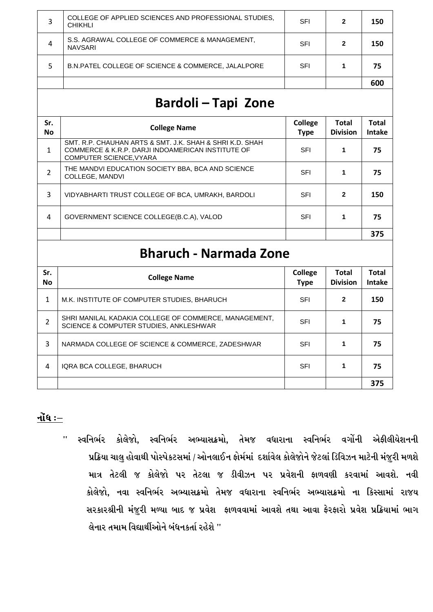| S.S. AGRAWAL COLLEGE OF COMMERCE & MANAGEMENT,<br>SFI<br>150<br>2<br>4<br><b>NAVSARI</b><br>75<br><b>B.N.PATEL COLLEGE OF SCIENCE &amp; COMMERCE, JALALPORE</b><br>SFI | 3 | COLLEGE OF APPLIED SCIENCES AND PROFESSIONAL STUDIES.<br><b>CHIKHLI</b> | SFI | 2 | 150 |
|------------------------------------------------------------------------------------------------------------------------------------------------------------------------|---|-------------------------------------------------------------------------|-----|---|-----|
|                                                                                                                                                                        |   |                                                                         |     |   |     |
|                                                                                                                                                                        |   |                                                                         |     |   |     |
|                                                                                                                                                                        |   |                                                                         |     |   | 600 |

## **Bardoli – Tapi Zone**

| Sr.<br><b>No</b> | <b>College Name</b>                                                                                                                             | College<br><b>Type</b> | <b>Total</b><br><b>Division</b> | <b>Total</b><br><b>Intake</b> |
|------------------|-------------------------------------------------------------------------------------------------------------------------------------------------|------------------------|---------------------------------|-------------------------------|
| 1                | SMT. R.P. CHAUHAN ARTS & SMT. J.K. SHAH & SHRI K.D. SHAH<br>COMMERCE & K.R.P. DARJI INDOAMERICAN INSTITUTE OF<br><b>COMPUTER SCIENCE, VYARA</b> | <b>SFI</b>             |                                 | 75                            |
| 2                | THE MANDVI EDUCATION SOCIETY BBA, BCA AND SCIENCE<br>COLLEGE, MANDVI                                                                            | SFI                    |                                 | 75                            |
| 3                | VIDYABHARTI TRUST COLLEGE OF BCA, UMRAKH, BARDOLI                                                                                               | <b>SFI</b>             | $\mathbf 2$                     | 150                           |
| 4                | GOVERNMENT SCIENCE COLLEGE(B.C.A), VALOD                                                                                                        | <b>SFI</b>             |                                 | 75                            |
|                  |                                                                                                                                                 |                        |                                 | 375                           |

## **Bharuch - Narmada Zone**

| Sr.<br><b>No</b> | <b>College Name</b>                                                                             | College<br><b>Type</b> | <b>Total</b><br><b>Division</b> | <b>Total</b><br><b>Intake</b> |
|------------------|-------------------------------------------------------------------------------------------------|------------------------|---------------------------------|-------------------------------|
| 1                | M.K. INSTITUTE OF COMPUTER STUDIES, BHARUCH                                                     | SFI                    | 2                               | 150                           |
| 2                | SHRI MANILAL KADAKIA COLLEGE OF COMMERCE, MANAGEMENT,<br>SCIENCE & COMPUTER STUDIES, ANKLESHWAR | SFI                    |                                 | 75                            |
| 3                | NARMADA COLLEGE OF SCIENCE & COMMERCE, ZADESHWAR                                                | <b>SFI</b>             | 1                               | 75                            |
| 4                | IQRA BCA COLLEGE, BHARUCH                                                                       | SFI                    |                                 | 75                            |
|                  |                                                                                                 |                        |                                 | 375                           |

#### $\mathbf{d}$ ોંધ  $\mathbf{d}$

'' સ્વનિર્ભર કોલેજો, સ્વનિર્ભર અભ્યાસક્રમો, તેમજ વધારાના સ્વનિર્ભર વર્ગોની એફીલીયેશનની પ્રક્રિયા ચાલુ હોવાથી પોસ્પેકટસમાં / ઓનલાઈન ફોર્મમાં દર્શાવેલ કોલેજોને જેટલાં ડિવિઝન માટેની મંજુરી મળશે માત્ર તેટલી જ કોલેજો પર તેટલા જ ડીવીઝન પર પ્રવેશની કાળવણી કરવામાં આવશે. નવી કોલેજો, નવા સ્વનિર્ભર અભ્યાસક્રમો તેમજ વધારાના સ્વનિર્ભર અભ્યાસક્રમો ના કિસ્સામાં રાજય સરકારશ્રીની મંજુરી મળ્યા બાદ જ પ્રવેશ ફાળવવામાં આવશે તથા આવા ફેરફારો પ્રવેશ પ્રક્રિયામાં ભાગ લેનાર તમામ વિદ્યાર્થીઓને બંધનકર્તા રહેશે "